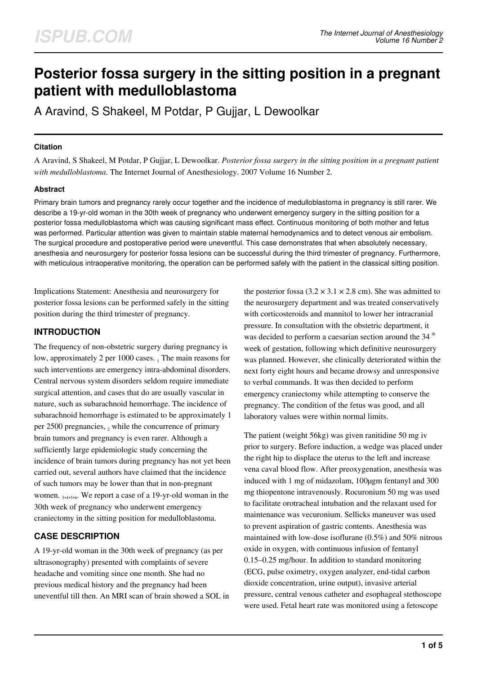# **Posterior fossa surgery in the sitting position in a pregnant patient with medulloblastoma**

A Aravind, S Shakeel, M Potdar, P Gujjar, L Dewoolkar

### **Citation**

A Aravind, S Shakeel, M Potdar, P Gujjar, L Dewoolkar. *Posterior fossa surgery in the sitting position in a pregnant patient with medulloblastoma*. The Internet Journal of Anesthesiology. 2007 Volume 16 Number 2.

## **Abstract**

Primary brain tumors and pregnancy rarely occur together and the incidence of medulloblastoma in pregnancy is still rarer. We describe a 19-yr-old woman in the 30th week of pregnancy who underwent emergency surgery in the sitting position for a posterior fossa medulloblastoma which was causing significant mass effect. Continuous monitoring of both mother and fetus was performed. Particular attention was given to maintain stable maternal hemodynamics and to detect venous air embolism. The surgical procedure and postoperative period were uneventful. This case demonstrates that when absolutely necessary, anesthesia and neurosurgery for posterior fossa lesions can be successful during the third trimester of pregnancy. Furthermore, with meticulous intraoperative monitoring, the operation can be performed safely with the patient in the classical sitting position.

Implications Statement: Anesthesia and neurosurgery for posterior fossa lesions can be performed safely in the sitting position during the third trimester of pregnancy.

# **INTRODUCTION**

The frequency of non-obstetric surgery during pregnancy is low, approximately 2 per 1000 cases. 1 The main reasons for such interventions are emergency intra-abdominal disorders. Central nervous system disorders seldom require immediate surgical attention, and cases that do are usually vascular in nature, such as subarachnoid hemorrhage. The incidence of subarachnoid hemorrhage is estimated to be approximately 1 per 2500 pregnancies,  $_2$  while the concurrence of primary brain tumors and pregnancy is even rarer. Although a sufficiently large epidemiologic study concerning the incidence of brain tumors during pregnancy has not yet been carried out, several authors have claimed that the incidence of such tumors may be lower than that in non-pregnant women. 3,4,5,6. We report a case of a 19-yr-old woman in the 30th week of pregnancy who underwent emergency craniectomy in the sitting position for medulloblastoma.

# **CASE DESCRIPTION**

A 19-yr-old woman in the 30th week of pregnancy (as per ultrasonography) presented with complaints of severe headache and vomiting since one month. She had no previous medical history and the pregnancy had been uneventful till then. An MRI scan of brain showed a SOL in the posterior fossa  $(3.2 \times 3.1 \times 2.8 \text{ cm})$ . She was admitted to the neurosurgery department and was treated conservatively with corticosteroids and mannitol to lower her intracranial pressure. In consultation with the obstetric department, it was decided to perform a caesarian section around the  $34<sup>th</sup>$ week of gestation, following which definitive neurosurgery was planned. However, she clinically deteriorated within the next forty eight hours and became drowsy and unresponsive to verbal commands. It was then decided to perform emergency craniectomy while attempting to conserve the pregnancy. The condition of the fetus was good, and all laboratory values were within normal limits.

The patient (weight 56kg) was given ranitidine 50 mg iv prior to surgery. Before induction, a wedge was placed under the right hip to displace the uterus to the left and increase vena caval blood flow. After preoxygenation, anesthesia was induced with 1 mg of midazolam, 100µgm fentanyl and 300 mg thiopentone intravenously. Rocuronium 50 mg was used to facilitate orotracheal intubation and the relaxant used for maintenance was vecuronium. Sellicks maneuver was used to prevent aspiration of gastric contents. Anesthesia was maintained with low-dose isoflurane (0.5%) and 50% nitrous oxide in oxygen, with continuous infusion of fentanyl 0.15–0.25 mg/hour. In addition to standard monitoring (ECG, pulse oximetry, oxygen analyzer, end-tidal carbon dioxide concentration, urine output), invasive arterial pressure, central venous catheter and esophageal stethoscope were used. Fetal heart rate was monitored using a fetoscope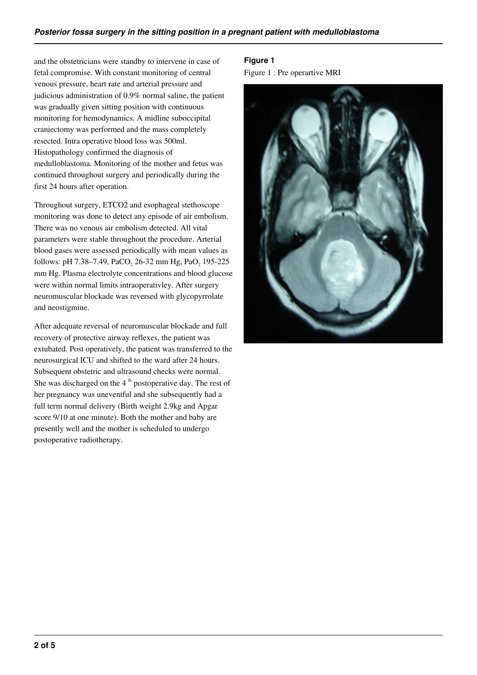and the obstetricians were standby to intervene in case of fetal compromise. With constant monitoring of central venous pressure, heart rate and arterial pressure and judicious administration of 0.9% normal saline, the patient was gradually given sitting position with continuous monitoring for hemodynamics. A midline suboccipital craniectomy was performed and the mass completely resected. Intra operative blood loss was 500ml. Histopathology confirmed the diagnosis of medulloblastoma. Monitoring of the mother and fetus was continued throughout surgery and periodically during the first 24 hours after operation.

Throughout surgery, ETCO2 and esophageal stethoscope monitoring was done to detect any episode of air embolism. There was no venous air embolism detected. All vital parameters were stable throughout the procedure. Arterial blood gases were assessed periodically with mean values as follows: pH 7.38–7.49, PaCO<sub>2</sub> 26-32 mm Hg, PaO<sub>2</sub> 195-225 mm Hg. Plasma electrolyte concentrations and blood glucose were within normal limits intraoperativley. After surgery neuromuscular blockade was reversed with glycopyrrolate and neostigmine.

After adequate reversal of neuromuscular blockade and full recovery of protective airway reflexes, the patient was extubated. Post operatively, the patient was transferred to the neurosurgical ICU and shifted to the ward after 24 hours. Subsequent obstetric and ultrasound checks were normal. She was discharged on the  $4<sup>th</sup>$  postoperative day. The rest of her pregnancy was uneventful and she subsequently had a full term normal delivery (Birth weight 2.9kg and Apgar score 9/10 at one minute). Both the mother and baby are presently well and the mother is scheduled to undergo postoperative radiotherapy.

**Figure 1** Figure 1 : Pre operartive MRI

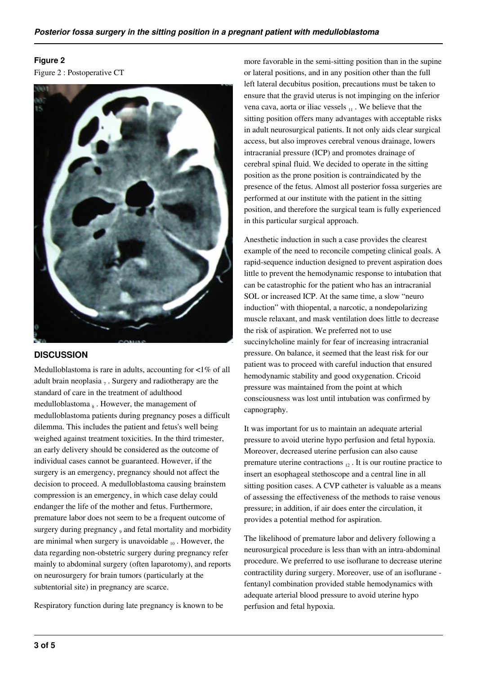# **Figure 2**

Figure 2 : Postoperative CT



# **DISCUSSION**

Medulloblastoma is rare in adults, accounting for  $\langle 1\% \rangle$  of all adult brain neoplasia  $_7$ . Surgery and radiotherapy are the standard of care in the treatment of adulthood medulloblastoma<sub>s</sub>. However, the management of medulloblastoma patients during pregnancy poses a difficult dilemma. This includes the patient and fetus's well being weighed against treatment toxicities. In the third trimester, an early delivery should be considered as the outcome of individual cases cannot be guaranteed. However, if the surgery is an emergency, pregnancy should not affect the decision to proceed. A medulloblastoma causing brainstem compression is an emergency, in which case delay could endanger the life of the mother and fetus. Furthermore, premature labor does not seem to be a frequent outcome of surgery during pregnancy, and fetal mortality and morbidity are minimal when surgery is unavoidable  $_{10}$ . However, the data regarding non-obstetric surgery during pregnancy refer mainly to abdominal surgery (often laparotomy), and reports on neurosurgery for brain tumors (particularly at the subtentorial site) in pregnancy are scarce.

Respiratory function during late pregnancy is known to be

more favorable in the semi-sitting position than in the supine or lateral positions, and in any position other than the full left lateral decubitus position, precautions must be taken to ensure that the gravid uterus is not impinging on the inferior vena cava, aorta or iliac vessels  $_{11}$ . We believe that the sitting position offers many advantages with acceptable risks in adult neurosurgical patients. It not only aids clear surgical access, but also improves cerebral venous drainage, lowers intracranial pressure (ICP) and promotes drainage of cerebral spinal fluid. We decided to operate in the sitting position as the prone position is contraindicated by the presence of the fetus. Almost all posterior fossa surgeries are performed at our institute with the patient in the sitting position, and therefore the surgical team is fully experienced in this particular surgical approach.

Anesthetic induction in such a case provides the clearest example of the need to reconcile competing clinical goals. A rapid-sequence induction designed to prevent aspiration does little to prevent the hemodynamic response to intubation that can be catastrophic for the patient who has an intracranial SOL or increased ICP. At the same time, a slow "neuro induction" with thiopental, a narcotic, a nondepolarizing muscle relaxant, and mask ventilation does little to decrease the risk of aspiration. We preferred not to use succinylcholine mainly for fear of increasing intracranial pressure. On balance, it seemed that the least risk for our patient was to proceed with careful induction that ensured hemodynamic stability and good oxygenation. Cricoid pressure was maintained from the point at which consciousness was lost until intubation was confirmed by capnography.

It was important for us to maintain an adequate arterial pressure to avoid uterine hypo perfusion and fetal hypoxia. Moreover, decreased uterine perfusion can also cause premature uterine contractions  $_{12}$ . It is our routine practice to insert an esophageal stethoscope and a central line in all sitting position cases. A CVP catheter is valuable as a means of assessing the effectiveness of the methods to raise venous pressure; in addition, if air does enter the circulation, it provides a potential method for aspiration.

The likelihood of premature labor and delivery following a neurosurgical procedure is less than with an intra-abdominal procedure. We preferred to use isoflurane to decrease uterine contractility during surgery. Moreover, use of an isoflurane fentanyl combination provided stable hemodynamics with adequate arterial blood pressure to avoid uterine hypo perfusion and fetal hypoxia.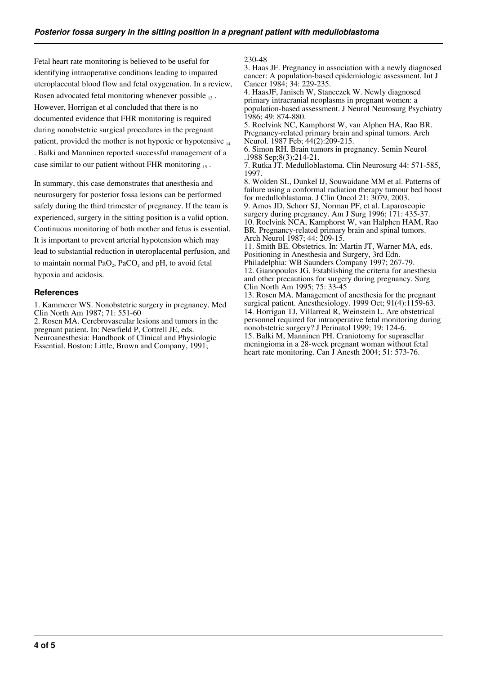Fetal heart rate monitoring is believed to be useful for identifying intraoperative conditions leading to impaired uteroplacental blood flow and fetal oxygenation. In a review, Rosen advocated fetal monitoring whenever possible <sub>13</sub>. However, Horrigan et al concluded that there is no documented evidence that FHR monitoring is required during nonobstetric surgical procedures in the pregnant patient, provided the mother is not hypoxic or hypotensive  $_{14}$ . Balki and Manninen reported successful management of a case similar to our patient without FHR monitoring 15.

In summary, this case demonstrates that anesthesia and neurosurgery for posterior fossa lesions can be performed safely during the third trimester of pregnancy. If the team is experienced, surgery in the sitting position is a valid option. Continuous monitoring of both mother and fetus is essential. It is important to prevent arterial hypotension which may lead to substantial reduction in uteroplacental perfusion, and to maintain normal  $PaO<sub>2</sub>$ ,  $PaCO<sub>2</sub>$  and pH, to avoid fetal hypoxia and acidosis.

#### **References**

1. Kammerer WS. Nonobstetric surgery in pregnancy. Med Clin North Am 1987; 71: 551-60

2. Rosen MA. Cerebrovascular lesions and tumors in the pregnant patient. In: Newfield P, Cottrell JE, eds. Neuroanesthesia: Handbook of Clinical and Physiologic Essential. Boston: Little, Brown and Company, 1991;

230-48

3. Haas JF. Pregnancy in association with a newly diagnosed cancer: A population-based epidemiologic assessment. Int J Cancer 1984; 34: 229-235.

4. HaasJF, Janisch W, Staneczek W. Newly diagnosed primary intracranial neoplasms in pregnant women: a population-based assessment. J Neurol Neurosurg Psychiatry 1986; 49: 874-880.

5. Roelvink NC, Kamphorst W, van Alphen HA, Rao BR. Pregnancy-related primary brain and spinal tumors. Arch Neurol. 1987 Feb; 44(2):209-215.

6. Simon RH. Brain tumors in pregnancy. Semin Neurol .1988 Sep;8(3):214-21.

7. Rutka JT. Medulloblastoma. Clin Neurosurg 44: 571-585, 1997.

8. Wolden SL, Dunkel IJ, Souwaidane MM et al. Patterns of failure using a conformal radiation therapy tumour bed boost for medulloblastoma. J Clin Oncol 21: 3079, 2003. 9. Amos JD, Schorr SJ, Norman PF, et al. Laparoscopic surgery during pregnancy. Am J Surg 1996; 171: 435-37. 10. Roelvink NCA, Kamphorst W, van Halphen HAM, Rao BR. Pregnancy-related primary brain and spinal tumors. Arch Neurol 1987; 44: 209-15.

11. Smith BE. Obstetrics. In: Martin JT, Warner MA, eds. Positioning in Anesthesia and Surgery, 3rd Edn.

Philadelphia: WB Saunders Company 1997; 267-79. 12. Gianopoulos JG. Establishing the criteria for anesthesia and other precautions for surgery during pregnancy. Surg Clin North Am 1995; 75: 33-45

13. Rosen MA. Management of anesthesia for the pregnant surgical patient. Anesthesiology. 1999 Oct; 91(4):1159-63. 14. Horrigan TJ, Villarreal R, Weinstein L. Are obstetrical personnel required for intraoperative fetal monitoring during nonobstetric surgery? J Perinatol 1999; 19: 124-6. 15. Balki M, Manninen PH. Craniotomy for suprasellar meningioma in a 28-week pregnant woman without fetal heart rate monitoring. Can J Anesth 2004; 51: 573-76.